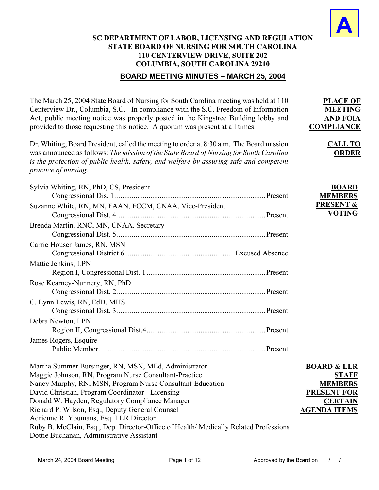

**PLACE OF MEETING AND FOIA COMPLIANCE**

> **CALL TO ORDER**

# **SC DEPARTMENT OF LABOR, LICENSING AND REGULATION STATE BOARD OF NURSING FOR SOUTH CAROLINA 110 CENTERVIEW DRIVE, SUITE 202 COLUMBIA, SOUTH CAROLINA 29210**

## **BOARD MEETING MINUTES – MARCH 25, 2004**

The March 25, 2004 State Board of Nursing for South Carolina meeting was held at 110 Centerview Dr., Columbia, S.C. In compliance with the S.C. Freedom of Information Act, public meeting notice was properly posted in the Kingstree Building lobby and provided to those requesting this notice. A quorum was present at all times.

Dr. Whiting, Board President, called the meeting to order at 8:30 a.m. The Board mission was announced as follows: *The mission of the State Board of Nursing for South Carolina is the protection of public health, safety, and welfare by assuring safe and competent practice of nursing*.

| Sylvia Whiting, RN, PhD, CS, President                                               | <b>BOARD</b>           |
|--------------------------------------------------------------------------------------|------------------------|
|                                                                                      | <b>MEMBERS</b>         |
| Suzanne White, RN, MN, FAAN, FCCM, CNAA, Vice-President                              | <b>PRESENT &amp;</b>   |
|                                                                                      | <b>VOTING</b>          |
| Brenda Martin, RNC, MN, CNAA. Secretary                                              |                        |
|                                                                                      |                        |
| Carrie Houser James, RN, MSN                                                         |                        |
|                                                                                      |                        |
| Mattie Jenkins, LPN                                                                  |                        |
|                                                                                      |                        |
| Rose Kearney-Nunnery, RN, PhD                                                        |                        |
|                                                                                      |                        |
| C. Lynn Lewis, RN, EdD, MHS                                                          |                        |
|                                                                                      |                        |
| Debra Newton, LPN                                                                    |                        |
|                                                                                      |                        |
| James Rogers, Esquire                                                                |                        |
|                                                                                      |                        |
| Martha Summer Bursinger, RN, MSN, MEd, Administrator                                 | <b>BOARD &amp; LLR</b> |
| Maggie Johnson, RN, Program Nurse Consultant-Practice                                | <b>STAFF</b>           |
| Nancy Murphy, RN, MSN, Program Nurse Consultant-Education                            | <b>MEMBERS</b>         |
| David Christian, Program Coordinator - Licensing                                     | <b>PRESENT FOR</b>     |
| Donald W. Hayden, Regulatory Compliance Manager                                      | <b>CERTAIN</b>         |
| Richard P. Wilson, Esq., Deputy General Counsel                                      | <b>AGENDA ITEMS</b>    |
| Adrienne R. Youmans, Esq. LLR Director                                               |                        |
| Ruby B. McClain, Esq., Dep. Director-Office of Health/ Medically Related Professions |                        |

Dottie Buchanan, Administrative Assistant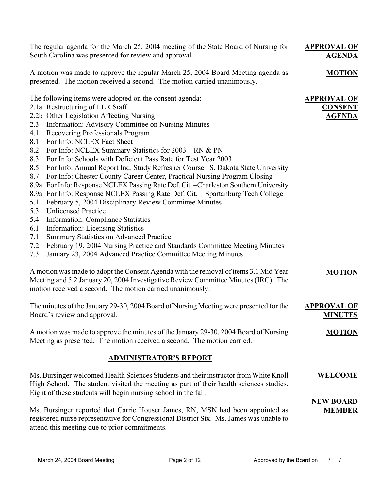The regular agenda for the March 25, 2004 meeting of the State Board of Nursing for South Carolina was presented for review and approval. A motion was made to approve the regular March 25, 2004 Board Meeting agenda as presented. The motion received a second. The motion carried unanimously. **APPROVAL OF AGENDA MOTION** The following items were adopted on the consent agenda: 2.1a Restructuring of LLR Staff 2.2b Other Legislation Affecting Nursing 2.3 Information: Advisory Committee on Nursing Minutes 4.1 Recovering Professionals Program 8.1 For Info: NCLEX Fact Sheet 8.2 For Info: NCLEX Summary Statistics for 2003 – RN & PN 8.3 For Info: Schools with Deficient Pass Rate for Test Year 2003 8.5 For Info: Annual Report Ind. Study Refresher Course –S. Dakota State University 8.7 For Info: Chester County Career Center, Practical Nursing Program Closing 8.9a For Info: Response NCLEX Passing Rate Def. Cit. –Charleston Southern University 8.9a For Info: Response NCLEX Passing Rate Def. Cit. – Spartanburg Tech College 5.1 February 5, 2004 Disciplinary Review Committee Minutes 5.3 Unlicensed Practice 5.4 Information: Compliance Statistics 6.1 Information: Licensing Statistics 7.1 Summary Statistics on Advanced Practice 7.2 February 19, 2004 Nursing Practice and Standards Committee Meeting Minutes 7.3 January 23, 2004 Advanced Practice Committee Meeting Minutes A motion was made to adopt the Consent Agenda with the removal of items 3.1 Mid Year Meeting and 5.2 January 20, 2004 Investigative Review Committee Minutes (IRC). The motion received a second. The motion carried unanimously. **APPROVAL OF CONSENT AGENDA MOTION** The minutes of the January 29-30, 2004 Board of Nursing Meeting were presented for the Board's review and approval. A motion was made to approve the minutes of the January 29-30, 2004 Board of Nursing Meeting as presented. The motion received a second. The motion carried. **APPROVAL OF MINUTES MOTION ADMINISTRATOR'S REPORT** Ms. Bursinger welcomed Health Sciences Students and their instructor from White Knoll High School. The student visited the meeting as part of their health sciences studies. Eight of these students will begin nursing school in the fall. Ms. Bursinger reported that Carrie Houser James, RN, MSN had been appointed as registered nurse representative for Congressional District Six. Ms. James was unable to attend this meeting due to prior commitments. **WELCOME NEW BOARD MEMBER**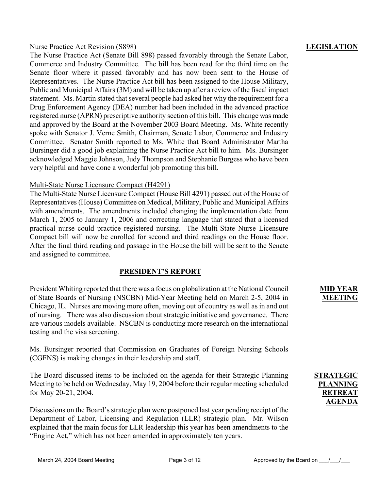### Nurse Practice Act Revision (S898)

The Nurse Practice Act (Senate Bill 898) passed favorably through the Senate Labor, Commerce and Industry Committee. The bill has been read for the third time on the Senate floor where it passed favorably and has now been sent to the House of Representatives. The Nurse Practice Act bill has been assigned to the House Military, Public and Municipal Affairs (3M) and will be taken up after a review of the fiscal impact statement. Ms. Martin stated that several people had asked her why the requirement for a Drug Enforcement Agency (DEA) number had been included in the advanced practice registered nurse (APRN) prescriptive authority section of this bill. This change was made and approved by the Board at the November 2003 Board Meeting. Ms. White recently spoke with Senator J. Verne Smith, Chairman, Senate Labor, Commerce and Industry Committee. Senator Smith reported to Ms. White that Board Administrator Martha Bursinger did a good job explaining the Nurse Practice Act bill to him. Ms. Bursinger acknowledged Maggie Johnson, Judy Thompson and Stephanie Burgess who have been very helpful and have done a wonderful job promoting this bill.

### Multi-State Nurse Licensure Compact (H4291)

The Multi-State Nurse Licensure Compact (House Bill 4291) passed out of the House of Representatives (House) Committee on Medical, Military, Public and Municipal Affairs with amendments. The amendments included changing the implementation date from March 1, 2005 to January 1, 2006 and correcting language that stated that a licensed practical nurse could practice registered nursing. The Multi-State Nurse Licensure Compact bill will now be enrolled for second and third readings on the House floor. After the final third reading and passage in the House the bill will be sent to the Senate and assigned to committee.

## **PRESIDENT'S REPORT**

President Whiting reported that there was a focus on globalization at the National Council of State Boards of Nursing (NSCBN) Mid-Year Meeting held on March 2-5, 2004 in Chicago, IL. Nurses are moving more often, moving out of country as well as in and out of nursing. There was also discussion about strategic initiative and governance. There are various models available. NSCBN is conducting more research on the international testing and the visa screening.

Ms. Bursinger reported that Commission on Graduates of Foreign Nursing Schools (CGFNS) is making changes in their leadership and staff.

The Board discussed items to be included on the agenda for their Strategic Planning Meeting to be held on Wednesday, May 19, 2004 before their regular meeting scheduled for May 20-21, 2004.

Discussions on the Board's strategic plan were postponed last year pending receipt of the Department of Labor, Licensing and Regulation (LLR) strategic plan. Mr. Wilson explained that the main focus for LLR leadership this year has been amendments to the "Engine Act," which has not been amended in approximately ten years.

### **LEGISLATION**

**MID YEAR MEETING**

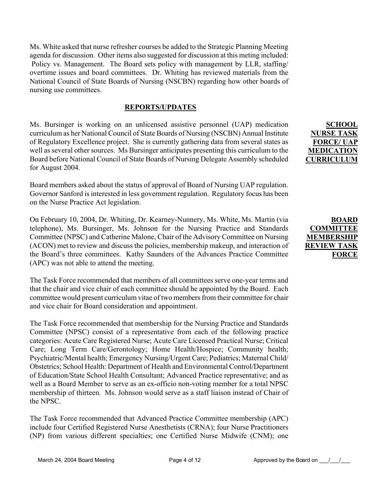Ms. White asked that nurse refresher courses be added to the Strategic Planning Meeting agenda for discussion. Other items also suggested for discussion at this meting included: Policy vs. Management. The Board sets policy with management by LLR, staffing/ overtime issues and board committees. Dr. Whiting has reviewed materials from the National Council of State Boards of Nursing (NSCBN) regarding how other boards of nursing use committees.

### **REPORTS/UPDATES**

Ms. Bursinger is working on an unlicensed assistive personnel (UAP) medication curriculum as her National Council of State Boards of Nursing (NSCBN) Annual Institute of Regulatory Excellence project. She is currently gathering data from several states as well as several other sources. Ms Bursinger anticipates presenting this curriculum to the Board before National Council of State Boards of Nursing Delegate Assembly scheduled for August 2004.

Board members asked about the status of approval of Board of Nursing UAP regulation. Governor Sanford is interested in less government regulation. Regulatory focus has been on the Nurse Practice Act legislation.

On February 10, 2004, Dr. Whiting, Dr. Kearney-Nunnery, Ms. White, Ms. Martin (via telephone), Ms. Bursinger, Ms. Johnson for the Nursing Practice and Standards Committee (NPSC) and Catherine Malone, Chair of the Advisory Committee on Nursing (ACON) met to review and discuss the policies, membership makeup, and interaction of the Board's three committees. Kathy Saunders of the Advances Practice Committee (APC) was not able to attend the meeting.

The Task Force recommended that members of all committees serve one-year terms and that the chair and vice chair of each committee should be appointed by the Board. Each committee would present curriculum vitae of two members from their committee for chair and vice chair for Board consideration and appointment.

The Task Force recommended that membership for the Nursing Practice and Standards Committee (NPSC) consist of a representative from each of the following practice categories: Acute Care Registered Nurse; Acute Care Licensed Practical Nurse; Critical Care; Long Term Care/Gerontology; Home Health/Hospice; Community health; Psychiatric/Mental health; Emergency Nursing/Urgent Care; Pediatrics; Maternal Child/ Obstetrics; School Health: Department of Health and Environmental Control/Department of Education/State School Health Consultant; Advanced Practice representative; and as well as a Board Member to serve as an ex-officio non-voting member for a total NPSC membership of thirteen. Ms. Johnson would serve as a staff liaison instead of Chair of the NPSC.

The Task Force recommended that Advanced Practice Committee membership (APC) include four Certified Registered Nurse Anesthetists (CRNA); four Nurse Practitioners (NP) from various different specialties; one Certified Nurse Midwife (CNM); one

**SCHOOL NURSE TASK FORCE/ UAP MEDICATION CURRICULUM**

**BOARD COMMITTEE MEMBERSHIP REVIEW TASK FORCE**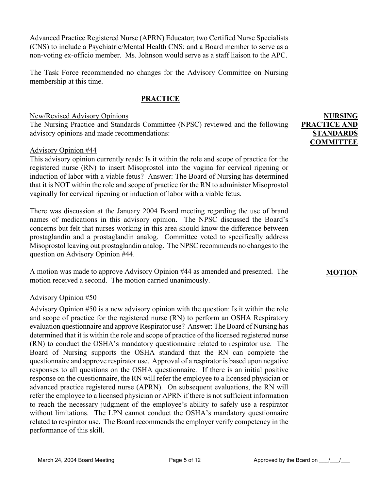Advanced Practice Registered Nurse (APRN) Educator; two Certified Nurse Specialists (CNS) to include a Psychiatric/Mental Health CNS; and a Board member to serve as a non-voting ex-officio member. Ms. Johnson would serve as a staff liaison to the APC.

The Task Force recommended no changes for the Advisory Committee on Nursing membership at this time.

## **PRACTICE**

### New/Revised Advisory Opinions

The Nursing Practice and Standards Committee (NPSC) reviewed and the following advisory opinions and made recommendations:

### Advisory Opinion #44

This advisory opinion currently reads: Is it within the role and scope of practice for the registered nurse (RN) to insert Misoprostol into the vagina for cervical ripening or induction of labor with a viable fetus? Answer: The Board of Nursing has determined that it is NOT within the role and scope of practice for the RN to administer Misoprostol vaginally for cervical ripening or induction of labor with a viable fetus.

There was discussion at the January 2004 Board meeting regarding the use of brand names of medications in this advisory opinion. The NPSC discussed the Board's concerns but felt that nurses working in this area should know the difference between prostaglandin and a prostaglandin analog. Committee voted to specifically address Misoprostol leaving out prostaglandin analog. The NPSC recommends no changes to the question on Advisory Opinion #44.

A motion was made to approve Advisory Opinion #44 as amended and presented. The motion received a second. The motion carried unanimously.

### Advisory Opinion #50

Advisory Opinion #50 is a new advisory opinion with the question: Is it within the role and scope of practice for the registered nurse (RN) to perform an OSHA Respiratory evaluation questionnaire and approve Respirator use? Answer: The Board of Nursing has determined that it is within the role and scope of practice of the licensed registered nurse (RN) to conduct the OSHA's mandatory questionnaire related to respirator use. The Board of Nursing supports the OSHA standard that the RN can complete the questionnaire and approve respirator use. Approval of a respirator is based upon negative responses to all questions on the OSHA questionnaire. If there is an initial positive response on the questionnaire, the RN will refer the employee to a licensed physician or advanced practice registered nurse (APRN). On subsequent evaluations, the RN will refer the employee to a licensed physician or APRN if there is not sufficient information to reach the necessary judgment of the employee's ability to safely use a respirator without limitations. The LPN cannot conduct the OSHA's mandatory questionnaire related to respirator use. The Board recommends the employer verify competency in the performance of this skill.

**NURSING PRACTICE AND STANDARDS COMMITTEE**

### **MOTION**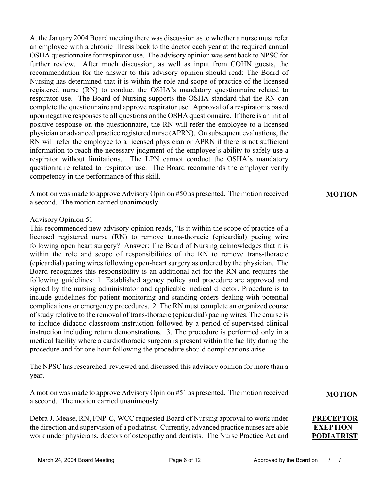At the January 2004 Board meeting there was discussion as to whether a nurse must refer an employee with a chronic illness back to the doctor each year at the required annual OSHA questionnaire for respirator use. The advisory opinion was sent back to NPSC for further review. After much discussion, as well as input from COHN guests, the recommendation for the answer to this advisory opinion should read: The Board of Nursing has determined that it is within the role and scope of practice of the licensed registered nurse (RN) to conduct the OSHA's mandatory questionnaire related to respirator use. The Board of Nursing supports the OSHA standard that the RN can complete the questionnaire and approve respirator use. Approval of a respirator is based upon negative responses to all questions on the OSHA questionnaire. If there is an initial positive response on the questionnaire, the RN will refer the employee to a licensed physician or advanced practice registered nurse (APRN). On subsequent evaluations, the RN will refer the employee to a licensed physician or APRN if there is not sufficient information to reach the necessary judgment of the employee's ability to safely use a respirator without limitations. The LPN cannot conduct the OSHA's mandatory questionnaire related to respirator use. The Board recommends the employer verify competency in the performance of this skill.

A motion was made to approve Advisory Opinion #50 as presented. The motion received a second. The motion carried unanimously.

#### Advisory Opinion 51

This recommended new advisory opinion reads, "Is it within the scope of practice of a licensed registered nurse (RN) to remove trans-thoracic (epicardial) pacing wire following open heart surgery? Answer: The Board of Nursing acknowledges that it is within the role and scope of responsibilities of the RN to remove trans-thoracic (epicardial) pacing wires following open-heart surgery as ordered by the physician. The Board recognizes this responsibility is an additional act for the RN and requires the following guidelines: 1. Established agency policy and procedure are approved and signed by the nursing administrator and applicable medical director. Procedure is to include guidelines for patient monitoring and standing orders dealing with potential complications or emergency procedures. 2. The RN must complete an organized course of study relative to the removal of trans-thoracic (epicardial) pacing wires. The course is to include didactic classroom instruction followed by a period of supervised clinical instruction including return demonstrations. 3. The procedure is performed only in a medical facility where a cardiothoracic surgeon is present within the facility during the procedure and for one hour following the procedure should complications arise.

The NPSC has researched, reviewed and discussed this advisory opinion for more than a year.

A motion was made to approve Advisory Opinion #51 as presented. The motion received a second. The motion carried unanimously.

Debra J. Mease, RN, FNP-C, WCC requested Board of Nursing approval to work under the direction and supervision of a podiatrist. Currently, advanced practice nurses are able work under physicians, doctors of osteopathy and dentists. The Nurse Practice Act and **MOTION**

#### **MOTION**

**PRECEPTOR EXEPTION – PODIATRIST**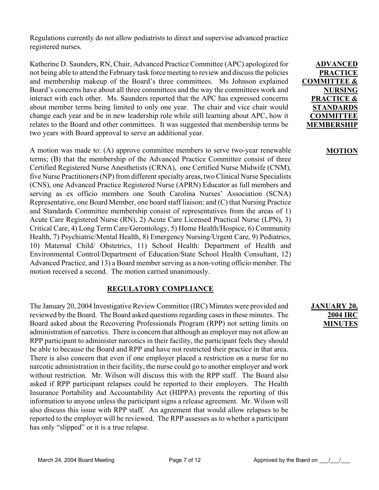Regulations currently do not allow podiatrists to direct and supervise advanced practice registered nurses.

Katherine D. Saunders, RN, Chair, Advanced Practice Committee (APC) apologized for not being able to attend the February task force meeting to review and discuss the policies and membership makeup of the Board's three committees. Ms Johnson explained Board's concerns have about all three committees and the way the committees work and interact with each other. Ms. Saunders reported that the APC has expressed concerns about member terms being limited to only one year. The chair and vice chair would change each year and be in new leadership role while still learning about APC, how it relates to the Board and other committees. It was suggested that membership terms be two years with Board approval to serve an additional year.

A motion was made to: (A) approve committee members to serve two-year renewable terms; (B) that the membership of the Advanced Practice Committee consist of three Certified Registered Nurse Anesthetists (CRNA), one Certified Nurse Midwife (CNM), five Nurse Practitioners (NP) from different specialty areas, two Clinical Nurse Specialists (CNS), one Advanced Practice Registered Nurse (APRN) Educator as full members and serving as ex officio members one South Carolina Nurses' Association (SCNA) Representative, one Board Member, one board staff liaison; and (C) that Nursing Practice and Standards Committee membership consist of representatives from the areas of 1) Acute Care Registered Nurse (RN), 2) Acute Care Licensed Practical Nurse (LPN), 3) Critical Care, 4) Long Term Care/Gerontology, 5) Home Health/Hospice, 6) Community Health, 7) Psychiatric/Mental Health, 8) Emergency Nursing/Urgent Care, 9) Pediatrics, 10) Maternal Child/ Obstetrics, 11) School Health: Department of Health and Environmental Control/Department of Education/State School Health Consultant, 12) Advanced Practice, and 13) a Board member serving as a non-voting officio member. The motion received a second. The motion carried unanimously.

## **REGULATORY COMPLIANCE**

The January 20, 2004 Investigative Review Committee (IRC) Minutes were provided and reviewed by the Board. The Board asked questions regarding cases in these minutes. The Board asked about the Recovering Professionals Program (RPP) not setting limits on administration of narcotics. There is concern that although an employer may not allow an RPP participant to administer narcotics in their facility, the participant feels they should be able to because the Board and RPP and have not restricted their practice in that area. There is also concern that even if one employer placed a restriction on a nurse for no narcotic administration in their facility, the nurse could go to another employer and work without restriction. Mr. Wilson will discuss this with the RPP staff. The Board also asked if RPP participant relapses could be reported to their employers. The Health Insurance Portability and Accountability Act (HIPPA) prevents the reporting of this information to anyone unless the participant signs a release agreement. Mr. Wilson will also discuss this issue with RPP staff. An agreement that would allow relapses to be reported to the employer will be reviewed. The RPP assesses as to whether a participant has only "slipped" or it is a true relapse.

**ADVANCED PRACTICE COMMITTEE & NURSING PRACTICE & STANDARDS COMMITTEE MEMBERSHIP**

### **MOTION**

## **JANUARY 20, 2004 IRC MINUTES**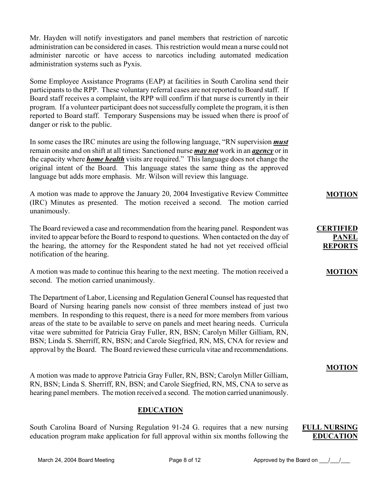Mr. Hayden will notify investigators and panel members that restriction of narcotic administration can be considered in cases. This restriction would mean a nurse could not administer narcotic or have access to narcotics including automated medication administration systems such as Pyxis.

Some Employee Assistance Programs (EAP) at facilities in South Carolina send their participants to the RPP. These voluntary referral cases are not reported to Board staff. If Board staff receives a complaint, the RPP will confirm if that nurse is currently in their program. If a volunteer participant does not successfully complete the program, it is then reported to Board staff. Temporary Suspensions may be issued when there is proof of danger or risk to the public.

In some cases the IRC minutes are using the following language, "RN supervision *must* remain onsite and on shift at all times: Sanctioned nurse *may not* work in an *agency* or in the capacity where *home health* visits are required." This language does not change the original intent of the Board. This language states the same thing as the approved language but adds more emphasis. Mr. Wilson will review this language.

A motion was made to approve the January 20, 2004 Investigative Review Committee (IRC) Minutes as presented. The motion received a second. The motion carried unanimously.

The Board reviewed a case and recommendation from the hearing panel. Respondent was invited to appear before the Board to respond to questions. When contacted on the day of the hearing, the attorney for the Respondent stated he had not yet received official notification of the hearing.

A motion was made to continue this hearing to the next meeting. The motion received a second. The motion carried unanimously.

The Department of Labor, Licensing and Regulation General Counsel has requested that Board of Nursing hearing panels now consist of three members instead of just two members. In responding to this request, there is a need for more members from various areas of the state to be available to serve on panels and meet hearing needs. Curricula vitae were submitted for Patricia Gray Fuller, RN, BSN; Carolyn Miller Gilliam, RN, BSN; Linda S. Sherriff, RN, BSN; and Carole Siegfried, RN, MS, CNA for review and approval by the Board. The Board reviewed these curricula vitae and recommendations.

A motion was made to approve Patricia Gray Fuller, RN, BSN; Carolyn Miller Gilliam, RN, BSN; Linda S. Sherriff, RN, BSN; and Carole Siegfried, RN, MS, CNA to serve as hearing panel members. The motion received a second. The motion carried unanimously.

## **EDUCATION**

South Carolina Board of Nursing Regulation 91-24 G. requires that a new nursing education program make application for full approval within six months following the

### **FULL NURSING EDUCATION**

**MOTION**

**CERTIFIED PANEL REPORTS**

**MOTION**

**MOTION**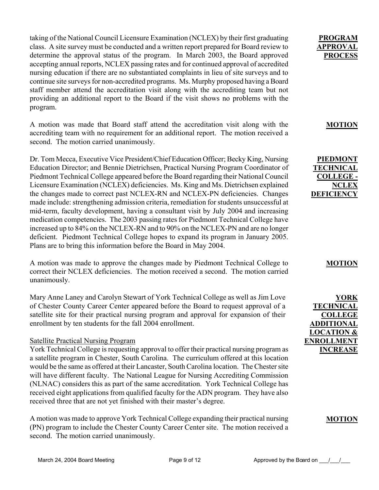taking of the National Council Licensure Examination (NCLEX) by their first graduating class. A site survey must be conducted and a written report prepared for Board review to determine the approval status of the program. In March 2003, the Board approved accepting annual reports, NCLEX passing rates and for continued approval of accredited nursing education if there are no substantiated complaints in lieu of site surveys and to continue site surveys for non-accredited programs. Ms. Murphy proposed having a Board staff member attend the accreditation visit along with the accrediting team but not providing an additional report to the Board if the visit shows no problems with the program.

A motion was made that Board staff attend the accreditation visit along with the accrediting team with no requirement for an additional report. The motion received a second. The motion carried unanimously.

Dr. Tom Mecca, Executive Vice President/Chief Education Officer; Becky King, Nursing Education Director; and Bennie Dietrichsen, Practical Nursing Program Coordinator of Piedmont Technical College appeared before the Board regarding their National Council Licensure Examination (NCLEX) deficiencies. Ms. King and Ms. Dietrichsen explained the changes made to correct past NCLEX-RN and NCLEX-PN deficiencies. Changes made include: strengthening admission criteria, remediation for students unsuccessful at mid-term, faculty development, having a consultant visit by July 2004 and increasing medication competencies. The 2003 passing rates for Piedmont Technical College have increased up to 84% on the NCLEX-RN and to 90% on the NCLEX-PN and are no longer deficient. Piedmont Technical College hopes to expand its program in January 2005. Plans are to bring this information before the Board in May 2004.

A motion was made to approve the changes made by Piedmont Technical College to correct their NCLEX deficiencies. The motion received a second. The motion carried unanimously.

Mary Anne Laney and Carolyn Stewart of York Technical College as well as Jim Love of Chester County Career Center appeared before the Board to request approval of a satellite site for their practical nursing program and approval for expansion of their enrollment by ten students for the fall 2004 enrollment.

### Satellite Practical Nursing Program

York Technical College is requesting approval to offer their practical nursing program as a satellite program in Chester, South Carolina. The curriculum offered at this location would be the same as offered at their Lancaster, South Carolina location. The Chester site will have different faculty. The National League for Nursing Accrediting Commission (NLNAC) considers this as part of the same accreditation. York Technical College has received eight applications from qualified faculty for the ADN program. They have also received three that are not yet finished with their master's degree.

A motion was made to approve York Technical College expanding their practical nursing (PN) program to include the Chester County Career Center site. The motion received a second. The motion carried unanimously.

**PROGRAM APPROVAL PROCESS**

## **MOTION**

**PIEDMONT TECHNICAL COLLEGE - NCLEX DEFICIENCY**

### **MOTION**

**YORK TECHNICAL COLLEGE ADDITIONAL LOCATION & ENROLLMENT INCREASE**

#### **MOTION**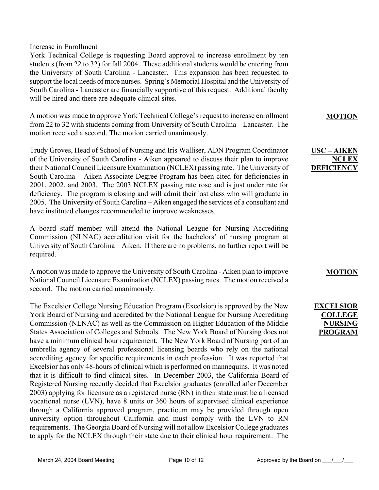### Increase in Enrollment

York Technical College is requesting Board approval to increase enrollment by ten students (from 22 to 32) for fall 2004. These additional students would be entering from the University of South Carolina - Lancaster. This expansion has been requested to support the local needs of more nurses. Spring's Memorial Hospital and the University of South Carolina - Lancaster are financially supportive of this request. Additional faculty will be hired and there are adequate clinical sites.

A motion was made to approve York Technical College's request to increase enrollment from 22 to 32 with students coming from University of South Carolina – Lancaster. The motion received a second. The motion carried unanimously.

Trudy Groves, Head of School of Nursing and Iris Walliser, ADN Program Coordinator of the University of South Carolina - Aiken appeared to discuss their plan to improve their National Council Licensure Examination (NCLEX) passing rate. The University of South Carolina – Aiken Associate Degree Program has been cited for deficiencies in 2001, 2002, and 2003. The 2003 NCLEX passing rate rose and is just under rate for deficiency. The program is closing and will admit their last class who will graduate in 2005. The University of South Carolina – Aiken engaged the services of a consultant and have instituted changes recommended to improve weaknesses.

A board staff member will attend the National League for Nursing Accrediting Commission (NLNAC) accreditation visit for the bachelors' of nursing program at University of South Carolina – Aiken. If there are no problems, no further report will be required.

A motion was made to approve the University of South Carolina - Aiken plan to improve National Council Licensure Examination (NCLEX) passing rates. The motion received a second. The motion carried unanimously.

The Excelsior College Nursing Education Program (Excelsior) is approved by the New York Board of Nursing and accredited by the National League for Nursing Accrediting Commission (NLNAC) as well as the Commission on Higher Education of the Middle States Association of Colleges and Schools. The New York Board of Nursing does not have a minimum clinical hour requirement. The New York Board of Nursing part of an umbrella agency of several professional licensing boards who rely on the national accrediting agency for specific requirements in each profession. It was reported that Excelsior has only 48-hours of clinical which is performed on mannequins. It was noted that it is difficult to find clinical sites. In December 2003, the California Board of Registered Nursing recently decided that Excelsior graduates (enrolled after December 2003) applying for licensure as a registered nurse (RN) in their state must be a licensed vocational nurse (LVN), have 8 units or 360 hours of supervised clinical experience through a California approved program, practicum may be provided through open university option throughout California and must comply with the LVN to RN requirements. The Georgia Board of Nursing will not allow Excelsior College graduates to apply for the NCLEX through their state due to their clinical hour requirement. The **MOTION**

### **USC – AIKEN NCLEX DEFICIENCY**

#### **MOTION**

**EXCELSIOR COLLEGE NURSING PROGRAM**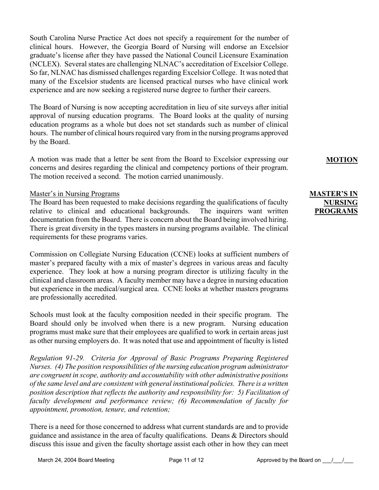South Carolina Nurse Practice Act does not specify a requirement for the number of clinical hours. However, the Georgia Board of Nursing will endorse an Excelsior graduate's license after they have passed the National Council Licensure Examination (NCLEX). Several states are challenging NLNAC's accreditation of Excelsior College. So far, NLNAC has dismissed challenges regarding Excelsior College. It was noted that many of the Excelsior students are licensed practical nurses who have clinical work experience and are now seeking a registered nurse degree to further their careers.

The Board of Nursing is now accepting accreditation in lieu of site surveys after initial approval of nursing education programs. The Board looks at the quality of nursing education programs as a whole but does not set standards such as number of clinical hours. The number of clinical hours required vary from in the nursing programs approved by the Board.

A motion was made that a letter be sent from the Board to Excelsior expressing our concerns and desires regarding the clinical and competency portions of their program. The motion received a second. The motion carried unanimously.

### Master's in Nursing Programs

The Board has been requested to make decisions regarding the qualifications of faculty relative to clinical and educational backgrounds. The inquirers want written documentation from the Board. There is concern about the Board being involved hiring. There is great diversity in the types masters in nursing programs available. The clinical requirements for these programs varies.

Commission on Collegiate Nursing Education (CCNE) looks at sufficient numbers of master's prepared faculty with a mix of master's degrees in various areas and faculty experience. They look at how a nursing program director is utilizing faculty in the clinical and classroom areas. A faculty member may have a degree in nursing education but experience in the medical/surgical area. CCNE looks at whether masters programs are professionally accredited.

Schools must look at the faculty composition needed in their specific program. The Board should only be involved when there is a new program. Nursing education programs must make sure that their employees are qualified to work in certain areas just as other nursing employers do. It was noted that use and appointment of faculty is listed

*Regulation 91-29. Criteria for Approval of Basic Programs Preparing Registered Nurses. (4) The position responsibilities of the nursing education program administrator are congruent in scope, authority and accountability with other administrative positions of the same level and are consistent with general institutional policies. There is a written position description that reflects the authority and responsibility for: 5) Facilitation of faculty development and performance review; (6) Recommendation of faculty for appointment, promotion, tenure, and retention;*

There is a need for those concerned to address what current standards are and to provide guidance and assistance in the area of faculty qualifications. Deans & Directors should discuss this issue and given the faculty shortage assist each other in how they can meet

### **MOTION**

## **MASTER'S IN NURSING PROGRAMS**